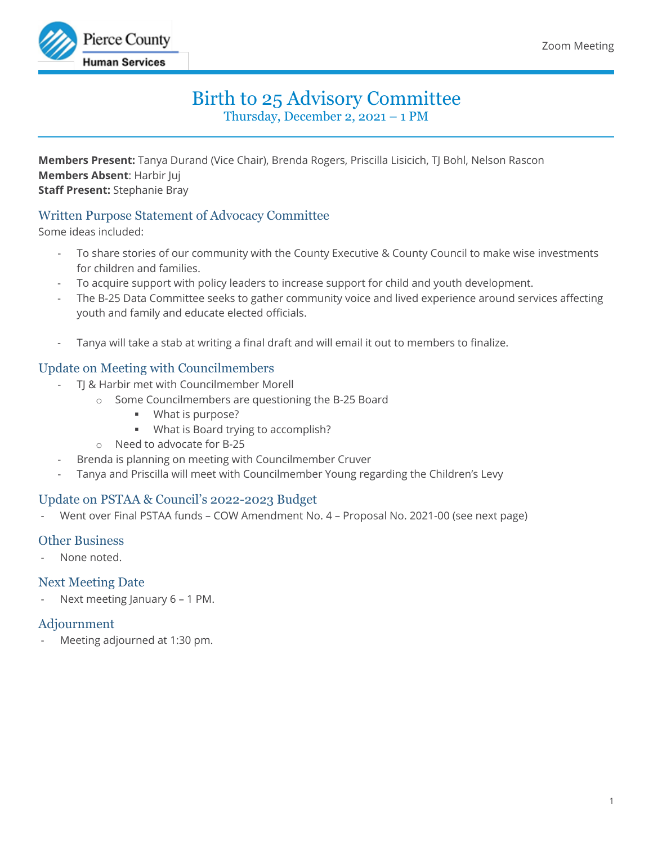

# Birth to 25 Advisory Committee

Thursday, December 2, 2021 – 1 PM

**Members Present:** Tanya Durand (Vice Chair), Brenda Rogers, Priscilla Lisicich, TJ Bohl, Nelson Rascon **Members Absent**: Harbir Juj **Staff Present:** Stephanie Bray

## Written Purpose Statement of Advocacy Committee

Some ideas included:

- To share stories of our community with the County Executive & County Council to make wise investments for children and families.
- To acquire support with policy leaders to increase support for child and youth development.
- The B-25 Data Committee seeks to gather community voice and lived experience around services affecting youth and family and educate elected officials.
- Tanya will take a stab at writing a final draft and will email it out to members to finalize.

#### Update on Meeting with Councilmembers

- TJ & Harbir met with Councilmember Morell
	- o Some Councilmembers are questioning the B-25 Board
		- **What is purpose?**
		- **What is Board trying to accomplish?**
	- o Need to advocate for B-25
- Brenda is planning on meeting with Councilmember Cruver
- Tanya and Priscilla will meet with Councilmember Young regarding the Children's Levy

## Update on PSTAA & Council's 2022-2023 Budget

- Went over Final PSTAA funds – COW Amendment No. 4 – Proposal No. 2021-00 (see next page)

#### Other Business

None noted.

#### Next Meeting Date

Next meeting January 6 - 1 PM.

#### Adjournment

Meeting adjourned at 1:30 pm.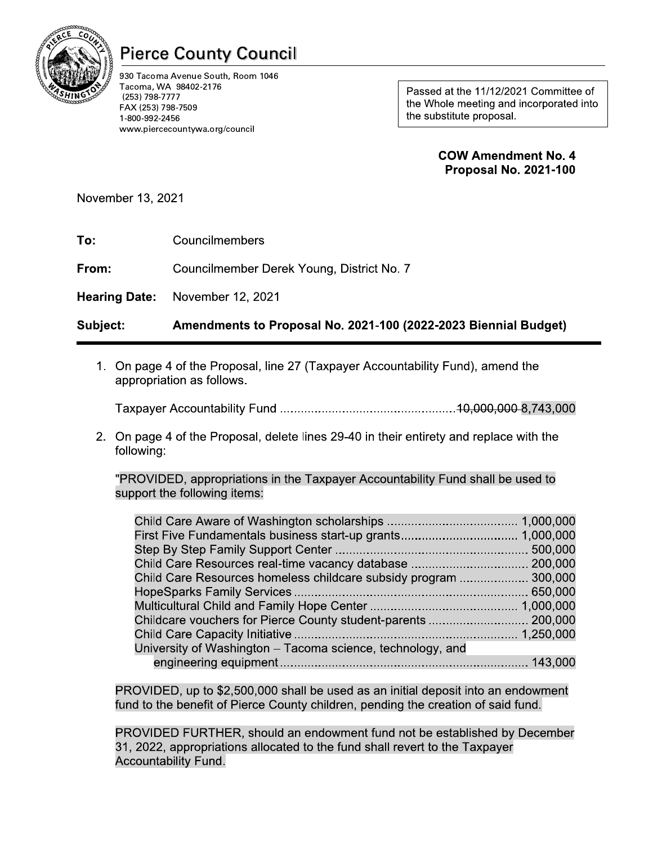

# Pierce County Council

930 Tacoma Avenue South, Room 1046 Tacoma, WA 98402-2176 (253) 798-7777<br>FAX (253) 798-7509 Pierce County Council<br>
930 Tacoma Avenue South, Room 1046<br>
25HINGS 738-7777<br>
FAX (253) 798-7757<br>
1-800-992-2456<br>
www.piercecountywa.org/council<br>
November 13, 2021 ercecountywa.org/councii Pierce County Count<br>
930 Tacoma Avenue South, Room 1046<br>
Tacoma, WA 98402-2176<br>
(253) 798-7777<br>
FAX (253) 798-7509<br>
1-800-992-2456<br>
www.piercecountywa.org/council<br>
mber 13, 2021

12/2021 Committee of<br>g and incorporated into<br>posal.<br>**endment No. 4**<br>al No. 2021-100

| To: | Councilmembers |
|-----|----------------|

| <b>JGTSSP</b><br>(253) 798-7777<br>FAX (253) 798-7509<br>1-800-992-2456<br>www.piercecountywa.org/council |                                                                                                                                                                                                                                                                                                                                                                                                                                                                                                                                                                      | Passed at the TIMZZUZT Committee of<br>the Whole meeting and incorporated into<br>the substitute proposal. |
|-----------------------------------------------------------------------------------------------------------|----------------------------------------------------------------------------------------------------------------------------------------------------------------------------------------------------------------------------------------------------------------------------------------------------------------------------------------------------------------------------------------------------------------------------------------------------------------------------------------------------------------------------------------------------------------------|------------------------------------------------------------------------------------------------------------|
|                                                                                                           |                                                                                                                                                                                                                                                                                                                                                                                                                                                                                                                                                                      | <b>COW Amendment No. 4</b><br><b>Proposal No. 2021-100</b>                                                 |
| November 13, 2021                                                                                         |                                                                                                                                                                                                                                                                                                                                                                                                                                                                                                                                                                      |                                                                                                            |
| To:                                                                                                       | Councilmembers                                                                                                                                                                                                                                                                                                                                                                                                                                                                                                                                                       |                                                                                                            |
| From:                                                                                                     | Councilmember Derek Young, District No. 7                                                                                                                                                                                                                                                                                                                                                                                                                                                                                                                            |                                                                                                            |
| <b>Hearing Date:</b>                                                                                      | November 12, 2021                                                                                                                                                                                                                                                                                                                                                                                                                                                                                                                                                    |                                                                                                            |
| Subject:                                                                                                  | Amendments to Proposal No. 2021-100 (2022-2023 Biennial Budget)                                                                                                                                                                                                                                                                                                                                                                                                                                                                                                      |                                                                                                            |
|                                                                                                           | 1. On page 4 of the Proposal, line 27 (Taxpayer Accountability Fund), amend the<br>appropriation as follows.                                                                                                                                                                                                                                                                                                                                                                                                                                                         |                                                                                                            |
| following:                                                                                                | 2. On page 4 of the Proposal, delete lines 29-40 in their entirety and replace with the                                                                                                                                                                                                                                                                                                                                                                                                                                                                              |                                                                                                            |
|                                                                                                           | "PROVIDED, appropriations in the Taxpayer Accountability Fund shall be used to<br>support the following items:                                                                                                                                                                                                                                                                                                                                                                                                                                                       |                                                                                                            |
|                                                                                                           | Child Care Resources homeless childcare subsidy program  300,000<br>Childcare vouchers for Pierce County student-parents  200,000<br>University of Washington - Tacoma science, technology, and<br>PROVIDED, up to \$2,500,000 shall be used as an initial deposit into an endowment<br>fund to the benefit of Pierce County children, pending the creation of said fund.<br>PROVIDED FURTHER, should an endowment fund not be established by December<br>31, 2022, appropriations allocated to the fund shall revert to the Taxpayer<br><b>Accountability Fund.</b> |                                                                                                            |